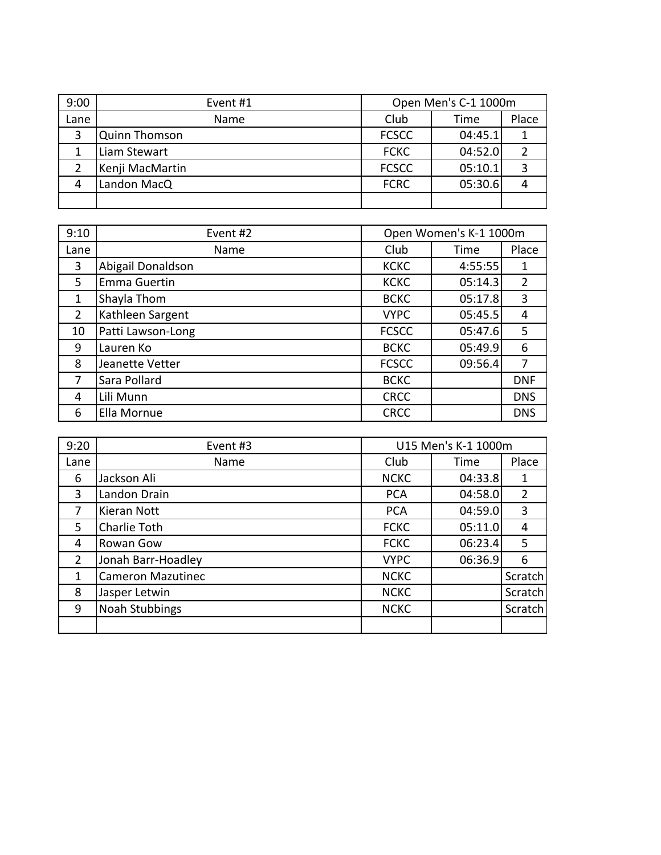| 9:00 | Event #1        | Open Men's C-1 1000m |         |       |
|------|-----------------|----------------------|---------|-------|
| Lane | <b>Name</b>     | Club                 | Time    | Place |
| 3    | Quinn Thomson   | <b>FCSCC</b>         | 04:45.1 |       |
|      | Liam Stewart    | <b>FCKC</b>          | 04:52.0 |       |
|      | Kenji MacMartin | <b>FCSCC</b>         | 05:10.1 |       |
| 4    | Landon MacQ     | <b>FCRC</b>          | 05:30.6 |       |
|      |                 |                      |         |       |

| 9:10           | Event #2          |              | Open Women's K-1 1000m |            |
|----------------|-------------------|--------------|------------------------|------------|
| Lane           | Name              | Club         | Time                   | Place      |
| 3              | Abigail Donaldson | <b>KCKC</b>  | 4:55:55                | 1          |
| 5              | Emma Guertin      | <b>KCKC</b>  | 05:14.3                | 2          |
| $\mathbf{1}$   | Shayla Thom       | <b>BCKC</b>  | 05:17.8                | 3          |
| $\overline{2}$ | Kathleen Sargent  | <b>VYPC</b>  | 05:45.5                | 4          |
| 10             | Patti Lawson-Long | <b>FCSCC</b> | 05:47.6                | 5          |
| 9              | Lauren Ko         | <b>BCKC</b>  | 05:49.9                | 6          |
| 8              | Jeanette Vetter   | <b>FCSCC</b> | 09:56.4                | 7          |
| 7              | Sara Pollard      | <b>BCKC</b>  |                        | <b>DNF</b> |
| 4              | Lili Munn         | <b>CRCC</b>  |                        | <b>DNS</b> |
| 6              | Ella Mornue       | <b>CRCC</b>  |                        | <b>DNS</b> |

| 9:20           | Event #3                 |             | U15 Men's K-1 1000m |         |
|----------------|--------------------------|-------------|---------------------|---------|
| Lane           | Name                     | Club        | Time                | Place   |
| 6              | Jackson Ali              | <b>NCKC</b> | 04:33.8             | 1       |
| 3              | Landon Drain             | <b>PCA</b>  | 04:58.0             | 2       |
| 7              | Kieran Nott              | <b>PCA</b>  | 04:59.0             | 3       |
| 5.             | Charlie Toth             | <b>FCKC</b> | 05:11.0             | 4       |
| 4              | Rowan Gow                | <b>FCKC</b> | 06:23.4             | 5       |
| $\overline{2}$ | Jonah Barr-Hoadley       | <b>VYPC</b> | 06:36.9             | 6       |
| 1              | <b>Cameron Mazutinec</b> | <b>NCKC</b> |                     | Scratch |
| 8              | Jasper Letwin            | <b>NCKC</b> |                     | Scratch |
| 9              | <b>Noah Stubbings</b>    | <b>NCKC</b> |                     | Scratch |
|                |                          |             |                     |         |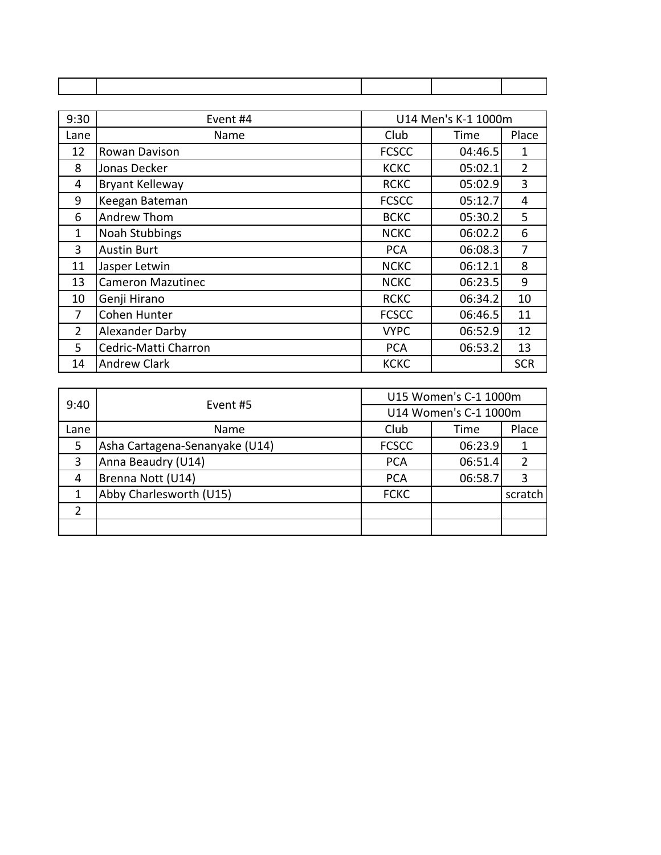| 9:30           | Event #4                 |              | U14 Men's K-1 1000m |            |
|----------------|--------------------------|--------------|---------------------|------------|
| Lane           | Name                     | Club         | Time                | Place      |
| 12             | Rowan Davison            | <b>FCSCC</b> | 04:46.5             | 1          |
| 8              | Jonas Decker             | <b>KCKC</b>  | 05:02.1             | 2          |
| 4              | <b>Bryant Kelleway</b>   | <b>RCKC</b>  | 05:02.9             | 3          |
| 9              | Keegan Bateman           | <b>FCSCC</b> | 05:12.7             | 4          |
| 6              | Andrew Thom              | <b>BCKC</b>  | 05:30.2             | 5          |
| 1              | <b>Noah Stubbings</b>    | <b>NCKC</b>  | 06:02.2             | 6          |
| 3              | <b>Austin Burt</b>       | <b>PCA</b>   | 06:08.3             | 7          |
| 11             | Jasper Letwin            | <b>NCKC</b>  | 06:12.1             | 8          |
| 13             | <b>Cameron Mazutinec</b> | <b>NCKC</b>  | 06:23.5             | 9          |
| 10             | Genji Hirano             | <b>RCKC</b>  | 06:34.2             | 10         |
| 7              | Cohen Hunter             | <b>FCSCC</b> | 06:46.5             | 11         |
| $\overline{2}$ | Alexander Darby          | <b>VYPC</b>  | 06:52.9             | 12         |
| 5              | Cedric-Matti Charron     | <b>PCA</b>   | 06:53.2             | 13         |
| 14             | <b>Andrew Clark</b>      | <b>KCKC</b>  |                     | <b>SCR</b> |

| 9:40 | Event #5                       | U15 Women's C-1 1000m |         |         |
|------|--------------------------------|-----------------------|---------|---------|
|      |                                | U14 Women's C-1 1000m |         |         |
| Lane | Name                           | Club                  | Time    | Place   |
| 5    | Asha Cartagena-Senanyake (U14) | <b>FCSCC</b>          | 06:23.9 |         |
| 3    | Anna Beaudry (U14)             | <b>PCA</b>            | 06:51.4 |         |
| 4    | Brenna Nott (U14)              | <b>PCA</b>            | 06:58.7 | 3       |
|      | Abby Charlesworth (U15)        | <b>FCKC</b>           |         | scratch |
| 2    |                                |                       |         |         |
|      |                                |                       |         |         |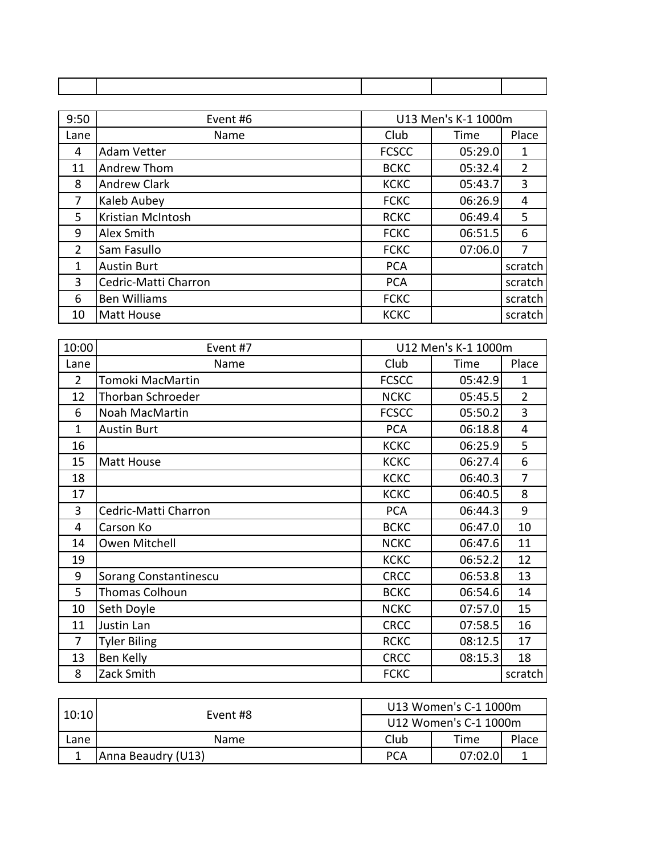| 9:50 | Event #6             |              | U13 Men's K-1 1000m |                |
|------|----------------------|--------------|---------------------|----------------|
| Lane | Name                 | Club         | Time                | Place          |
| 4    | <b>Adam Vetter</b>   | <b>FCSCC</b> | 05:29.0             | 1              |
| 11   | Andrew Thom          | <b>BCKC</b>  | 05:32.4             | $\overline{2}$ |
| 8    | <b>Andrew Clark</b>  | <b>KCKC</b>  | 05:43.7             | 3              |
| 7    | Kaleb Aubey          | <b>FCKC</b>  | 06:26.9             | 4              |
| 5    | Kristian McIntosh    | <b>RCKC</b>  | 06:49.4             | 5              |
| 9    | Alex Smith           | <b>FCKC</b>  | 06:51.5             | 6              |
| 2    | Sam Fasullo          | <b>FCKC</b>  | 07:06.0             | 7              |
| 1    | <b>Austin Burt</b>   | <b>PCA</b>   |                     | scratch        |
| 3    | Cedric-Matti Charron | <b>PCA</b>   |                     | scratch        |
| 6    | <b>Ben Williams</b>  | <b>FCKC</b>  |                     | scratch        |
| 10   | <b>Matt House</b>    | <b>KCKC</b>  |                     | scratch        |

| 10:00          | Event #7              |              | U12 Men's K-1 1000m |                |
|----------------|-----------------------|--------------|---------------------|----------------|
| Lane           | Name                  | Club         | Time                | Place          |
| $\overline{2}$ | Tomoki MacMartin      | <b>FCSCC</b> | 05:42.9             | $\mathbf{1}$   |
| 12             | Thorban Schroeder     | <b>NCKC</b>  | 05:45.5             | $\overline{2}$ |
| 6              | Noah MacMartin        | <b>FCSCC</b> | 05:50.2             | 3              |
| 1              | <b>Austin Burt</b>    | <b>PCA</b>   | 06:18.8             | 4              |
| 16             |                       | <b>KCKC</b>  | 06:25.9             | 5              |
| 15             | <b>Matt House</b>     | <b>KCKC</b>  | 06:27.4             | 6              |
| 18             |                       | <b>KCKC</b>  | 06:40.3             | 7              |
| 17             |                       | <b>KCKC</b>  | 06:40.5             | 8              |
| 3              | Cedric-Matti Charron  | <b>PCA</b>   | 06:44.3             | 9              |
| 4              | Carson Ko             | <b>BCKC</b>  | 06:47.0             | 10             |
| 14             | Owen Mitchell         | <b>NCKC</b>  | 06:47.6             | 11             |
| 19             |                       | <b>KCKC</b>  | 06:52.2             | 12             |
| 9              | Sorang Constantinescu | <b>CRCC</b>  | 06:53.8             | 13             |
| 5              | Thomas Colhoun        | <b>BCKC</b>  | 06:54.6             | 14             |
| 10             | Seth Doyle            | <b>NCKC</b>  | 07:57.0             | 15             |
| 11             | Justin Lan            | <b>CRCC</b>  | 07:58.5             | 16             |
| 7              | <b>Tyler Biling</b>   | <b>RCKC</b>  | 08:12.5             | 17             |
| 13             | Ben Kelly             | <b>CRCC</b>  | 08:15.3             | 18             |
| 8              | Zack Smith            | <b>FCKC</b>  |                     | scratch        |

|       | Event #8           | U13 Women's C-1 1000m |          |       |
|-------|--------------------|-----------------------|----------|-------|
| 10:10 |                    | U12 Women's C-1 1000m |          |       |
| Lane  | <b>Name</b>        | Club                  | Time     | Place |
|       | Anna Beaudry (U13) | <b>PCA</b>            | 07:02.01 |       |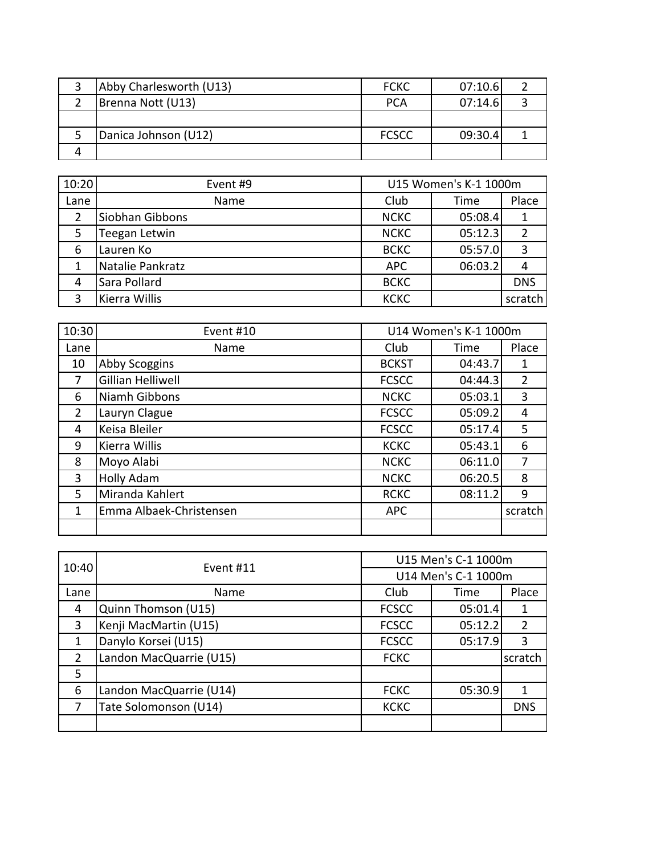| Abby Charlesworth (U13) | <b>FCKC</b>  | 07:10.6 |  |
|-------------------------|--------------|---------|--|
| Brenna Nott (U13)       | PCA          | 07:14.6 |  |
|                         |              |         |  |
| Danica Johnson (U12)    | <b>FCSCC</b> | 09:30.4 |  |
|                         |              |         |  |

| 10:20 | Event #9         |             | U15 Women's K-1 1000m |            |
|-------|------------------|-------------|-----------------------|------------|
| Lane  | Name             | Club        | Time                  | Place      |
| 2     | Siobhan Gibbons  | <b>NCKC</b> | 05:08.4               |            |
| 5     | Teegan Letwin    | <b>NCKC</b> | 05:12.3               |            |
| 6     | Lauren Ko        | <b>BCKC</b> | 05:57.0               | ာ          |
|       | Natalie Pankratz | <b>APC</b>  | 06:03.2               |            |
| 4     | Sara Pollard     | <b>BCKC</b> |                       | <b>DNS</b> |
|       | Kierra Willis    | <b>KCKC</b> |                       | scratch    |

| 10:30          | Event #10               |              | U14 Women's K-1 1000m |                |
|----------------|-------------------------|--------------|-----------------------|----------------|
| Lane           | Name                    | Club         | Time                  | Place          |
| 10             | Abby Scoggins           | <b>BCKST</b> | 04:43.7               | 1              |
| 7              | Gillian Helliwell       | <b>FCSCC</b> | 04:44.3               | $\overline{2}$ |
| 6              | Niamh Gibbons           | <b>NCKC</b>  | 05:03.1               | 3              |
| $\overline{2}$ | Lauryn Clague           | <b>FCSCC</b> | 05:09.2               | 4              |
| 4              | Keisa Bleiler           | <b>FCSCC</b> | 05:17.4               | 5              |
| 9              | Kierra Willis           | <b>KCKC</b>  | 05:43.1               | 6              |
| 8              | Moyo Alabi              | <b>NCKC</b>  | 06:11.0               | 7              |
| 3              | <b>Holly Adam</b>       | <b>NCKC</b>  | 06:20.5               | 8              |
| 5              | Miranda Kahlert         | <b>RCKC</b>  | 08:11.2               | 9              |
| 1              | Emma Albaek-Christensen | <b>APC</b>   |                       | scratch        |
|                |                         |              |                       |                |

| 10:40          | Event #11               | U15 Men's C-1 1000m |                     |            |
|----------------|-------------------------|---------------------|---------------------|------------|
|                |                         |                     | U14 Men's C-1 1000m |            |
| Lane           | Name                    | Club                | Time                | Place      |
| 4              | Quinn Thomson (U15)     | <b>FCSCC</b>        | 05:01.4             |            |
| 3              | Kenji MacMartin (U15)   | <b>FCSCC</b>        | 05:12.2             | 2          |
|                | Danylo Korsei (U15)     | <b>FCSCC</b>        | 05:17.9             | 3          |
| $\overline{2}$ | Landon MacQuarrie (U15) | <b>FCKC</b>         |                     | scratch    |
| 5              |                         |                     |                     |            |
| 6              | Landon MacQuarrie (U14) | <b>FCKC</b>         | 05:30.9             |            |
|                | Tate Solomonson (U14)   | <b>KCKC</b>         |                     | <b>DNS</b> |
|                |                         |                     |                     |            |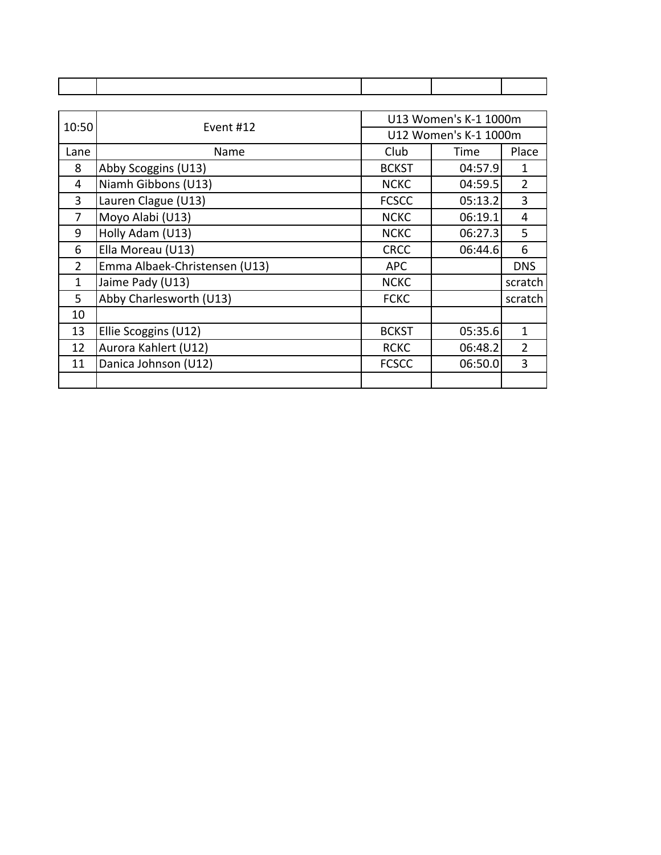| 10:50          | Event #12                     | U13 Women's K-1 1000m |                       |                |
|----------------|-------------------------------|-----------------------|-----------------------|----------------|
|                |                               |                       | U12 Women's K-1 1000m |                |
| Lane           | Name                          | Club                  | Time                  | Place          |
| 8              | Abby Scoggins (U13)           | <b>BCKST</b>          | 04:57.9               | 1              |
| 4              | Niamh Gibbons (U13)           | <b>NCKC</b>           | 04:59.5               | $\overline{2}$ |
| 3              | Lauren Clague (U13)           | <b>FCSCC</b>          | 05:13.2               | 3              |
| 7              | Moyo Alabi (U13)              | <b>NCKC</b>           | 06:19.1               | 4              |
| 9              | Holly Adam (U13)              | <b>NCKC</b>           | 06:27.3               | 5              |
| 6              | Ella Moreau (U13)             | <b>CRCC</b>           | 06:44.6               | 6              |
| $\overline{2}$ | Emma Albaek-Christensen (U13) | <b>APC</b>            |                       | <b>DNS</b>     |
| 1              | Jaime Pady (U13)              | <b>NCKC</b>           |                       | scratch        |
| 5.             | Abby Charlesworth (U13)       | <b>FCKC</b>           |                       | scratch        |
| 10             |                               |                       |                       |                |
| 13             | Ellie Scoggins (U12)          | <b>BCKST</b>          | 05:35.6               | 1              |
| 12             | Aurora Kahlert (U12)          | <b>RCKC</b>           | 06:48.2               | $\overline{2}$ |
| 11             | Danica Johnson (U12)          | <b>FCSCC</b>          | 06:50.0               | 3              |
|                |                               |                       |                       |                |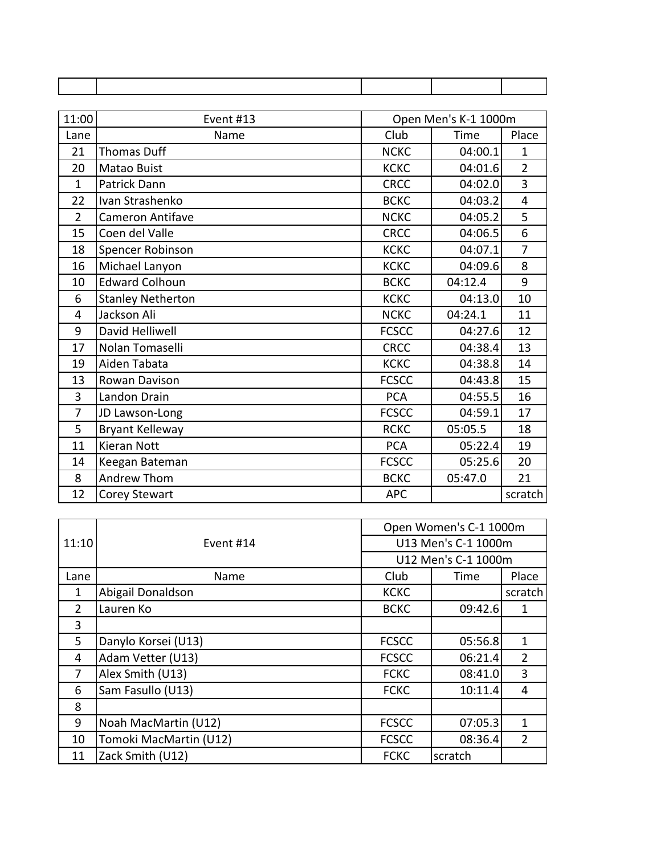| 11:00          | Event #13                | Open Men's K-1 1000m |         |                |
|----------------|--------------------------|----------------------|---------|----------------|
| Lane           | Name                     | Club                 | Time    | Place          |
| 21             | <b>Thomas Duff</b>       | <b>NCKC</b>          | 04:00.1 | 1              |
| 20             | <b>Matao Buist</b>       | <b>KCKC</b>          | 04:01.6 | $\overline{2}$ |
| $\mathbf{1}$   | <b>Patrick Dann</b>      | <b>CRCC</b>          | 04:02.0 | $\overline{3}$ |
| 22             | Ivan Strashenko          | <b>BCKC</b>          | 04:03.2 | 4              |
| $\overline{2}$ | <b>Cameron Antifave</b>  | <b>NCKC</b>          | 04:05.2 | 5              |
| 15             | Coen del Valle           | <b>CRCC</b>          | 04:06.5 | 6              |
| 18             | Spencer Robinson         | <b>KCKC</b>          | 04:07.1 | $\overline{7}$ |
| 16             | Michael Lanyon           | <b>KCKC</b>          | 04:09.6 | 8              |
| 10             | <b>Edward Colhoun</b>    | <b>BCKC</b>          | 04:12.4 | 9              |
| 6              | <b>Stanley Netherton</b> | <b>KCKC</b>          | 04:13.0 | 10             |
| 4              | Jackson Ali              | <b>NCKC</b>          | 04:24.1 | 11             |
| 9              | David Helliwell          | <b>FCSCC</b>         | 04:27.6 | 12             |
| 17             | Nolan Tomaselli          | <b>CRCC</b>          | 04:38.4 | 13             |
| 19             | Aiden Tabata             | <b>KCKC</b>          | 04:38.8 | 14             |
| 13             | Rowan Davison            | <b>FCSCC</b>         | 04:43.8 | 15             |
| 3              | Landon Drain             | <b>PCA</b>           | 04:55.5 | 16             |
| $\overline{7}$ | JD Lawson-Long           | <b>FCSCC</b>         | 04:59.1 | 17             |
| 5              | <b>Bryant Kelleway</b>   | <b>RCKC</b>          | 05:05.5 | 18             |
| 11             | <b>Kieran Nott</b>       | <b>PCA</b>           | 05:22.4 | 19             |
| 14             | Keegan Bateman           | <b>FCSCC</b>         | 05:25.6 | 20             |
| 8              | Andrew Thom              | <b>BCKC</b>          | 05:47.0 | 21             |
| 12             | <b>Corey Stewart</b>     | <b>APC</b>           |         | scratch        |

|                |                        |                     | Open Women's C-1 1000m |                |  |
|----------------|------------------------|---------------------|------------------------|----------------|--|
| 11:10          | Event #14              | U13 Men's C-1 1000m |                        |                |  |
|                |                        |                     | U12 Men's C-1 1000m    |                |  |
| Lane           | Name                   | Club                | Time                   | Place          |  |
| 1              | Abigail Donaldson      | <b>KCKC</b>         |                        | scratch        |  |
| $\overline{2}$ | Lauren Ko              | <b>BCKC</b>         | 09:42.6                | 1              |  |
| 3              |                        |                     |                        |                |  |
| 5              | Danylo Korsei (U13)    | <b>FCSCC</b>        | 05:56.8                | 1              |  |
| 4              | Adam Vetter (U13)      | <b>FCSCC</b>        | 06:21.4                | $\overline{2}$ |  |
| 7              | Alex Smith (U13)       | <b>FCKC</b>         | 08:41.0                | 3              |  |
| 6              | Sam Fasullo (U13)      | <b>FCKC</b>         | 10:11.4                | 4              |  |
| 8              |                        |                     |                        |                |  |
| 9              | Noah MacMartin (U12)   | <b>FCSCC</b>        | 07:05.3                | 1              |  |
| 10             | Tomoki MacMartin (U12) | <b>FCSCC</b>        | 08:36.4                | $\overline{2}$ |  |
| 11             | Zack Smith (U12)       | <b>FCKC</b>         | scratch                |                |  |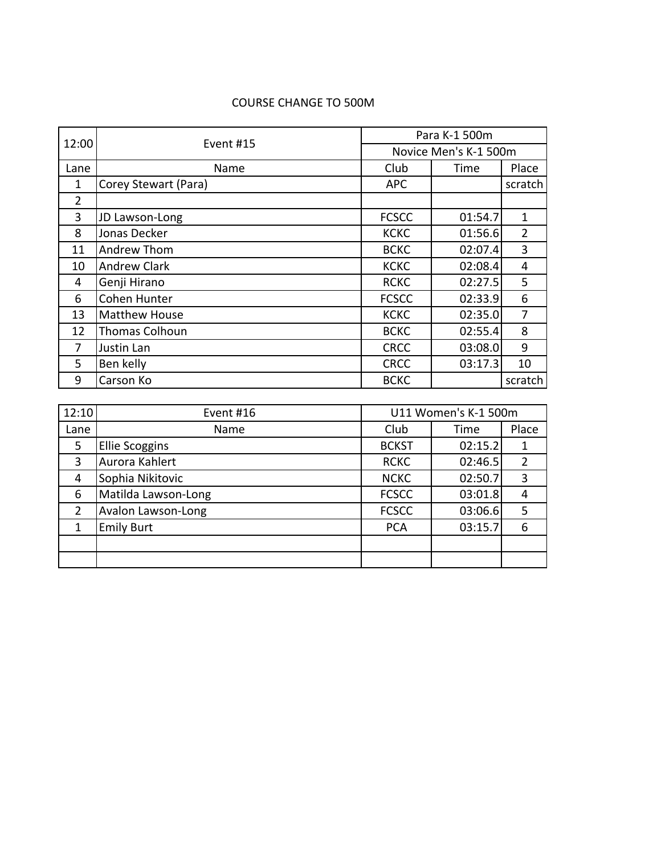## COURSE CHANGE TO 500M

| 12:00          | Event #15            | Para K-1 500m         |         |                |  |
|----------------|----------------------|-----------------------|---------|----------------|--|
|                |                      | Novice Men's K-1 500m |         |                |  |
| Lane           | Name                 | Club                  | Time    | Place          |  |
| 1              | Corey Stewart (Para) | <b>APC</b>            |         | scratch        |  |
| $\overline{2}$ |                      |                       |         |                |  |
| 3              | JD Lawson-Long       | <b>FCSCC</b>          | 01:54.7 | 1              |  |
| 8              | Jonas Decker         | <b>KCKC</b>           | 01:56.6 | $\overline{2}$ |  |
| 11             | Andrew Thom          | <b>BCKC</b>           | 02:07.4 | 3              |  |
| 10             | <b>Andrew Clark</b>  | <b>KCKC</b>           | 02:08.4 | 4              |  |
| 4              | Genji Hirano         | <b>RCKC</b>           | 02:27.5 | 5              |  |
| 6              | Cohen Hunter         | <b>FCSCC</b>          | 02:33.9 | 6              |  |
| 13             | <b>Matthew House</b> | <b>KCKC</b>           | 02:35.0 | 7              |  |
| 12             | Thomas Colhoun       | <b>BCKC</b>           | 02:55.4 | 8              |  |
| 7              | Justin Lan           | <b>CRCC</b>           | 03:08.0 | 9              |  |
| 5.             | Ben kelly            | <b>CRCC</b>           | 03:17.3 | 10             |  |
| 9              | Carson Ko            | <b>BCKC</b>           |         | scratch        |  |

| 12:10' | Event #16             | U11 Women's K-1 500m |         |       |
|--------|-----------------------|----------------------|---------|-------|
| Lane   | Name                  | Club                 | Time    | Place |
| 5      | <b>Ellie Scoggins</b> | <b>BCKST</b>         | 02:15.2 |       |
| 3      | Aurora Kahlert        | <b>RCKC</b>          | 02:46.5 |       |
| 4      | Sophia Nikitovic      | <b>NCKC</b>          | 02:50.7 | 3     |
| 6      | Matilda Lawson-Long   | <b>FCSCC</b>         | 03:01.8 | 4     |
| 2      | Avalon Lawson-Long    | <b>FCSCC</b>         | 03:06.6 | 5     |
| 1      | <b>Emily Burt</b>     | <b>PCA</b>           | 03:15.7 | 6     |
|        |                       |                      |         |       |
|        |                       |                      |         |       |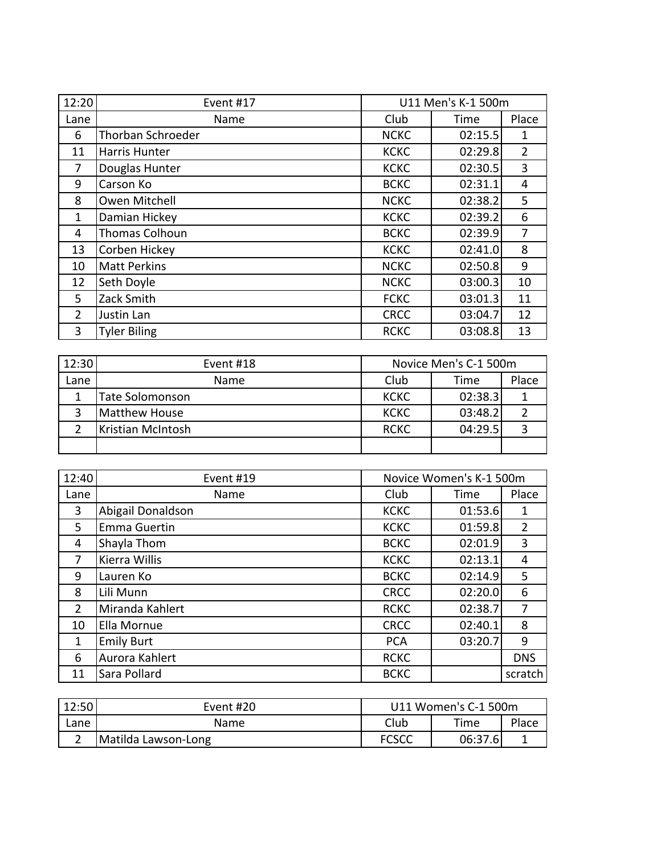| 12:20          | Event #17           | U11 Men's K-1 500m |         |                |
|----------------|---------------------|--------------------|---------|----------------|
| Lane           | Name                | Club               | Time    | Place          |
| 6              | Thorban Schroeder   | <b>NCKC</b>        | 02:15.5 | 1              |
| 11             | Harris Hunter       | <b>KCKC</b>        | 02:29.8 | $\overline{2}$ |
| 7              | Douglas Hunter      | <b>KCKC</b>        | 02:30.5 | 3              |
| 9              | Carson Ko           | <b>BCKC</b>        | 02:31.1 | 4              |
| 8              | Owen Mitchell       | <b>NCKC</b>        | 02:38.2 | 5              |
| 1              | Damian Hickey       | <b>KCKC</b>        | 02:39.2 | 6              |
| 4              | Thomas Colhoun      | <b>BCKC</b>        | 02:39.9 | 7              |
| 13             | Corben Hickey       | <b>KCKC</b>        | 02:41.0 | 8              |
| 10             | <b>Matt Perkins</b> | <b>NCKC</b>        | 02:50.8 | 9              |
| 12             | Seth Doyle          | <b>NCKC</b>        | 03:00.3 | 10             |
| 5              | Zack Smith          | <b>FCKC</b>        | 03:01.3 | 11             |
| $\overline{2}$ | Justin Lan          | <b>CRCC</b>        | 03:04.7 | 12             |
| 3              | <b>Tyler Biling</b> | <b>RCKC</b>        | 03:08.8 | 13             |

| 12:30 | Event #18              | Novice Men's C-1 500m |         |       |
|-------|------------------------|-----------------------|---------|-------|
| Lane  | Name                   | Club                  | Time    | Place |
|       | <b>Tate Solomonson</b> | <b>KCKC</b>           | 02:38.3 |       |
|       | Matthew House          | <b>KCKC</b>           | 03:48.2 |       |
|       | Kristian McIntosh      | <b>RCKC</b>           | 04:29.5 |       |
|       |                        |                       |         |       |

| 12:40          | Event #19         | Novice Women's K-1 500m |         |                |
|----------------|-------------------|-------------------------|---------|----------------|
| Lane           | Name              | Club                    | Time    | Place          |
| 3              | Abigail Donaldson | <b>KCKC</b>             | 01:53.6 | 1              |
| 5              | Emma Guertin      | <b>KCKC</b>             | 01:59.8 | $\overline{2}$ |
| 4              | Shayla Thom       | <b>BCKC</b>             | 02:01.9 | 3              |
| 7              | Kierra Willis     | <b>KCKC</b>             | 02:13.1 | 4              |
| 9              | Lauren Ko         | <b>BCKC</b>             | 02:14.9 | 5              |
| 8              | Lili Munn         | <b>CRCC</b>             | 02:20.0 | 6              |
| $\overline{2}$ | Miranda Kahlert   | <b>RCKC</b>             | 02:38.7 | 7              |
| 10             | Ella Mornue       | <b>CRCC</b>             | 02:40.1 | 8              |
| 1              | <b>Emily Burt</b> | <b>PCA</b>              | 03:20.7 | 9              |
| 6              | Aurora Kahlert    | <b>RCKC</b>             |         | <b>DNS</b>     |
| 11             | Sara Pollard      | <b>BCKC</b>             |         | scratch        |

| 12:50 | Event #20           | U11 Women's C-1 500m |         |       |  |
|-------|---------------------|----------------------|---------|-------|--|
| Lane  | <b>Name</b>         | Club                 | Time    | Place |  |
|       | Matilda Lawson-Long | <b>FCSCC</b>         | 06:37.6 |       |  |